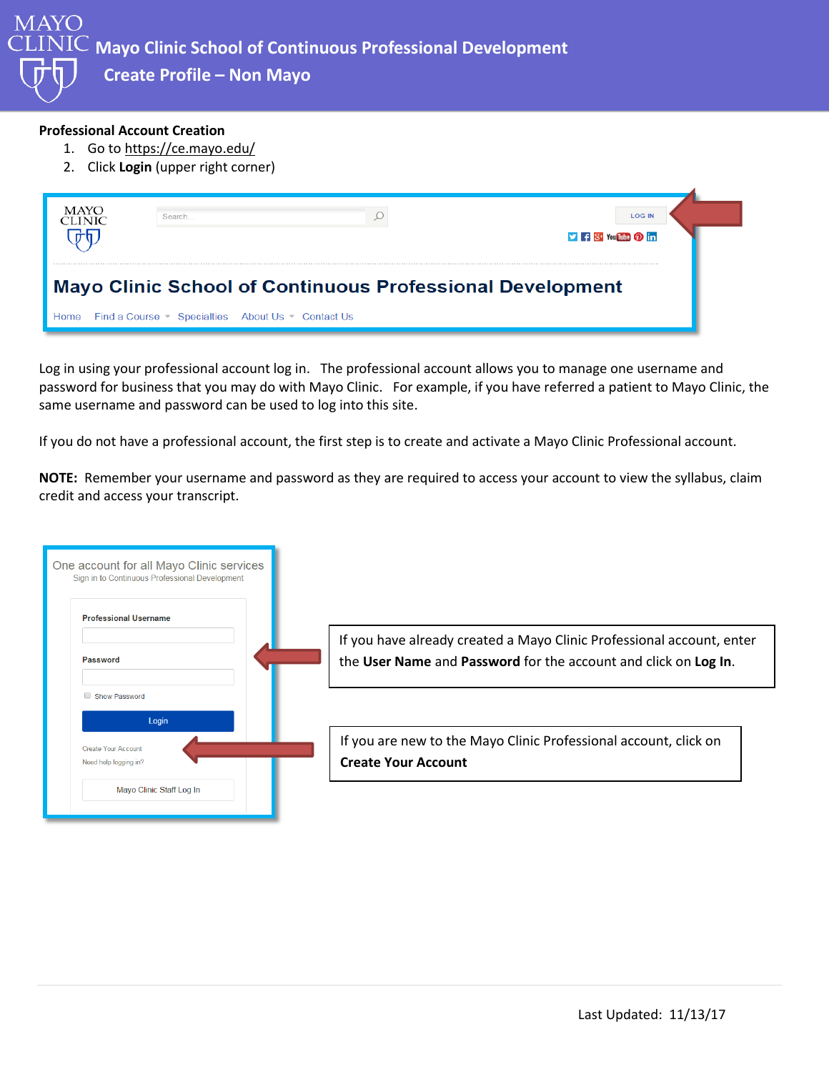MAYO **Mayo Clinic School of Continuous Professional Development Create Profile – Non Mayo**

## **Professional Account Creation**

- 1. Go to<https://ce.mayo.edu/>
- 2. Click **Login** (upper right corner)



Log in using your professional account log in. The professional account allows you to manage one username and password for business that you may do with Mayo Clinic. For example, if you have referred a patient to Mayo Clinic, the same username and password can be used to log into this site.

If you do not have a professional account, the first step is to create and activate a Mayo Clinic Professional account.

**NOTE:** Remember your username and password as they are required to access your account to view the syllabus, claim credit and access your transcript.